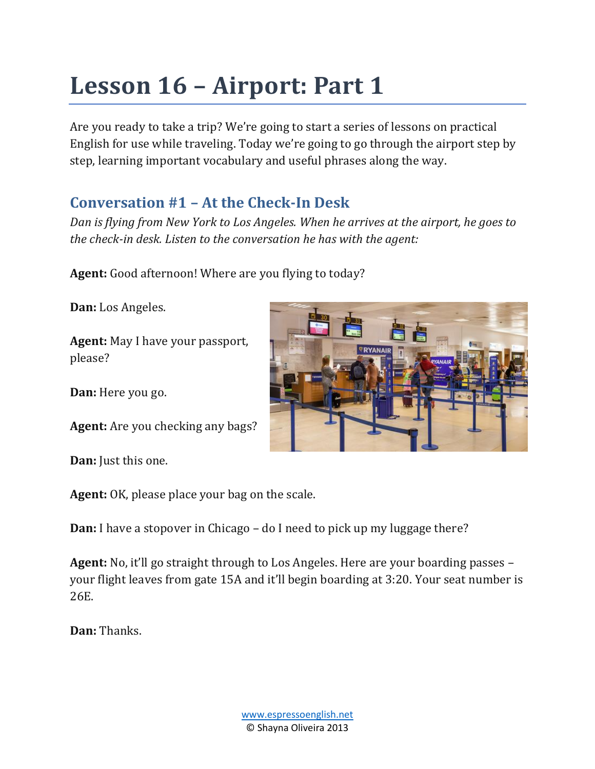# **Lesson 16 – Airport: Part 1**

Are you ready to take a trip? We're going to start a series of lessons on practical English for use while traveling. Today we're going to go through the airport step by step, learning important vocabulary and useful phrases along the way.

## **Conversation #1 – At the Check-In Desk**

*Dan is flying from New York to Los Angeles. When he arrives at the airport, he goes to the check-in desk. Listen to the conversation he has with the agent:*

**Agent:** Good afternoon! Where are you flying to today?

**Dan:** Los Angeles.

**Agent:** May I have your passport, please?

**Dan:** Here you go.

**Agent:** Are you checking any bags?

**Dan:** Just this one.

**Agent:** OK, please place your bag on the scale.

**Dan:** I have a stopover in Chicago – do I need to pick up my luggage there?

**Agent:** No, it'll go straight through to Los Angeles. Here are your boarding passes – your flight leaves from gate 15A and it'll begin boarding at 3:20. Your seat number is 26E.

**Dan:** Thanks.

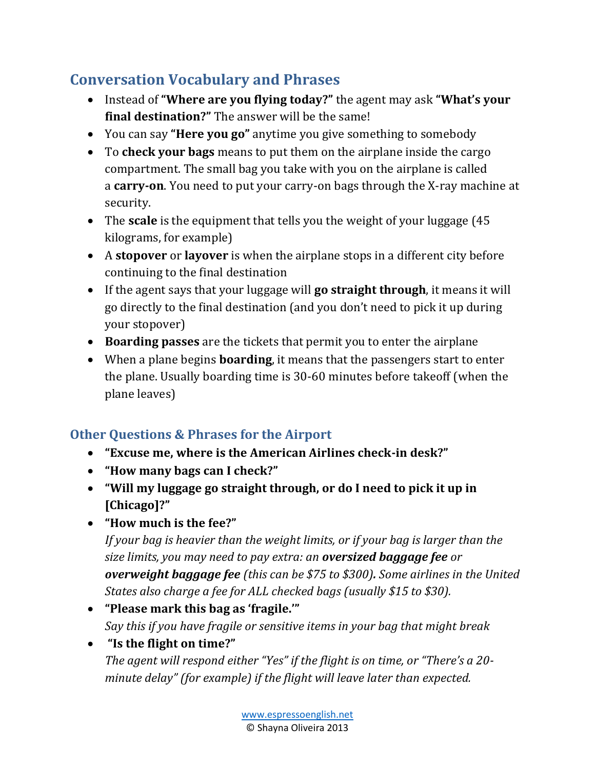## **Conversation Vocabulary and Phrases**

- Instead of **"Where are you flying today?"** the agent may ask **"What's your final destination?"** The answer will be the same!
- You can say **"Here you go"** anytime you give something to somebody
- To **check your bags** means to put them on the airplane inside the cargo compartment. The small bag you take with you on the airplane is called a **carry-on**. You need to put your carry-on bags through the X-ray machine at security.
- The **scale** is the equipment that tells you the weight of your luggage (45 kilograms, for example)
- A **stopover** or **layover** is when the airplane stops in a different city before continuing to the final destination
- If the agent says that your luggage will **go straight through**, it means it will go directly to the final destination (and you don't need to pick it up during your stopover)
- **Boarding passes** are the tickets that permit you to enter the airplane
- When a plane begins **boarding**, it means that the passengers start to enter the plane. Usually boarding time is 30-60 minutes before takeoff (when the plane leaves)

### **Other Questions & Phrases for the Airport**

- **"Excuse me, where is the American Airlines check-in desk?"**
- **"How many bags can I check?"**
- **"Will my luggage go straight through, or do I need to pick it up in [Chicago]?"**
- **"How much is the fee?"**

*If your bag is heavier than the weight limits, or if your bag is larger than the size limits, you may need to pay extra: an oversized baggage fee or overweight baggage fee (this can be \$75 to \$300). Some airlines in the United States also charge a fee for ALL checked bags (usually \$15 to \$30).*

- **"Please mark this bag as 'fragile.'"** *Say this if you have fragile or sensitive items in your bag that might break*
- **"Is the flight on time?"**

*The agent will respond either "Yes" if the flight is on time, or "There's a 20 minute delay" (for example) if the flight will leave later than expected.*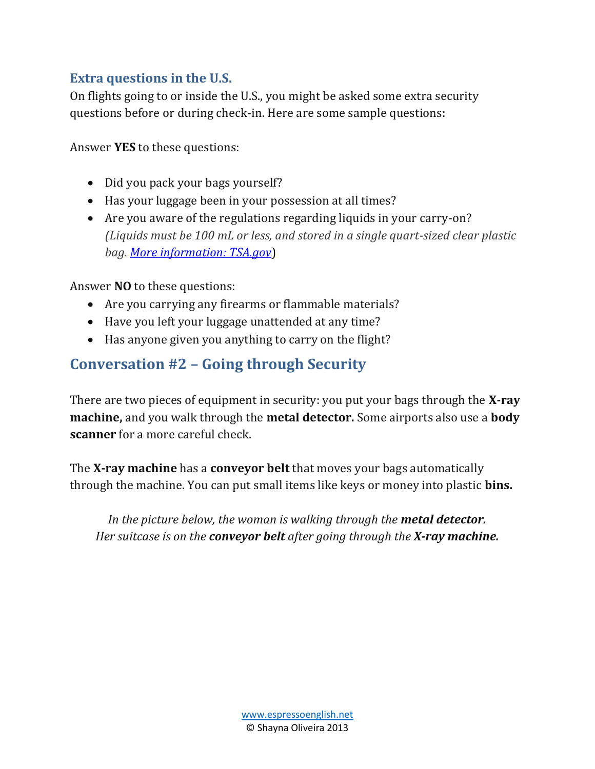#### **Extra questions in the U.S.**

On flights going to or inside the U.S., you might be asked some extra security questions before or during check-in. Here are some sample questions:

Answer **YES** to these questions:

- Did you pack your bags yourself?
- Has your luggage been in your possession at all times?
- Are you aware of the regulations regarding liquids in your carry-on? *(Liquids must be 100 mL or less, and stored in a single quart-sized clear plastic bag. [More information: TSA.gov](https://www.tsa.gov/travel/security-screening/liquids-rule)*)

Answer **NO** to these questions:

- Are you carrying any firearms or flammable materials?
- Have you left your luggage unattended at any time?
- Has anyone given you anything to carry on the flight?

### **Conversation #2 – Going through Security**

There are two pieces of equipment in security: you put your bags through the **X-ray machine,** and you walk through the **metal detector.** Some airports also use a **body scanner** for a more careful check.

The **X-ray machine** has a **conveyor belt** that moves your bags automatically through the machine. You can put small items like keys or money into plastic **bins.**

*In the picture below, the woman is walking through the metal detector. Her suitcase is on the conveyor belt after going through the X-ray machine.*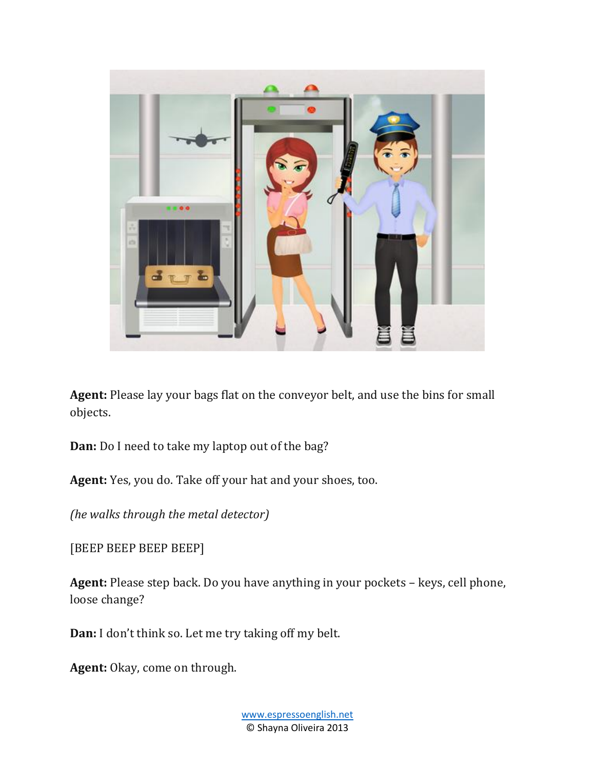

**Agent:** Please lay your bags flat on the conveyor belt, and use the bins for small objects.

**Dan:** Do I need to take my laptop out of the bag?

**Agent:** Yes, you do. Take off your hat and your shoes, too.

*(he walks through the metal detector)*

[BEEP BEEP BEEP BEEP]

**Agent:** Please step back. Do you have anything in your pockets – keys, cell phone, loose change?

**Dan:** I don't think so. Let me try taking off my belt.

**Agent:** Okay, come on through.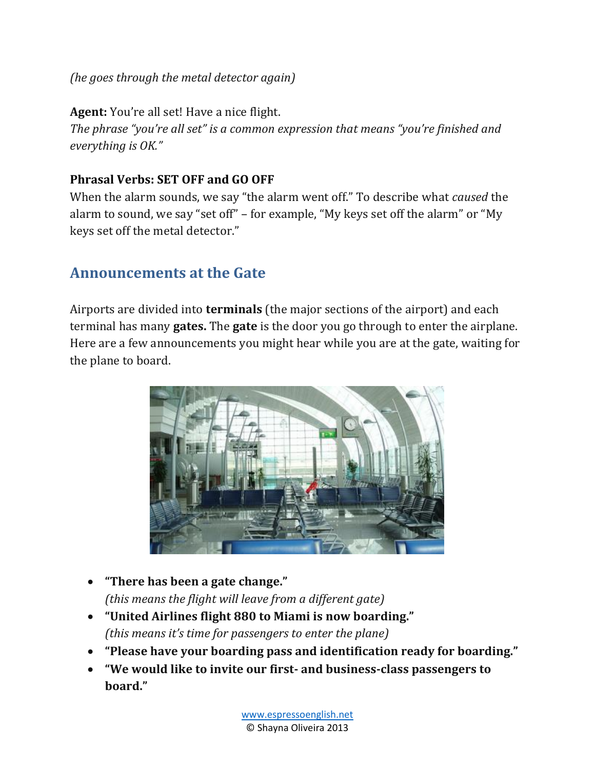#### *(he goes through the metal detector again)*

**Agent:** You're all set! Have a nice flight.

*The phrase "you're all set" is a common expression that means "you're finished and everything is OK."*

#### **Phrasal Verbs: SET OFF and GO OFF**

When the alarm sounds, we say "the alarm went off." To describe what *caused* the alarm to sound, we say "set off" – for example, "My keys set off the alarm" or "My keys set off the metal detector."

## **Announcements at the Gate**

Airports are divided into **terminals** (the major sections of the airport) and each terminal has many **gates.** The **gate** is the door you go through to enter the airplane. Here are a few announcements you might hear while you are at the gate, waiting for the plane to board.



- **"There has been a gate change."** *(this means the flight will leave from a different gate)*
- **"United Airlines flight 880 to Miami is now boarding."** *(this means it's time for passengers to enter the plane)*
- **"Please have your boarding pass and identification ready for boarding."**
- **"We would like to invite our first- and business-class passengers to board."**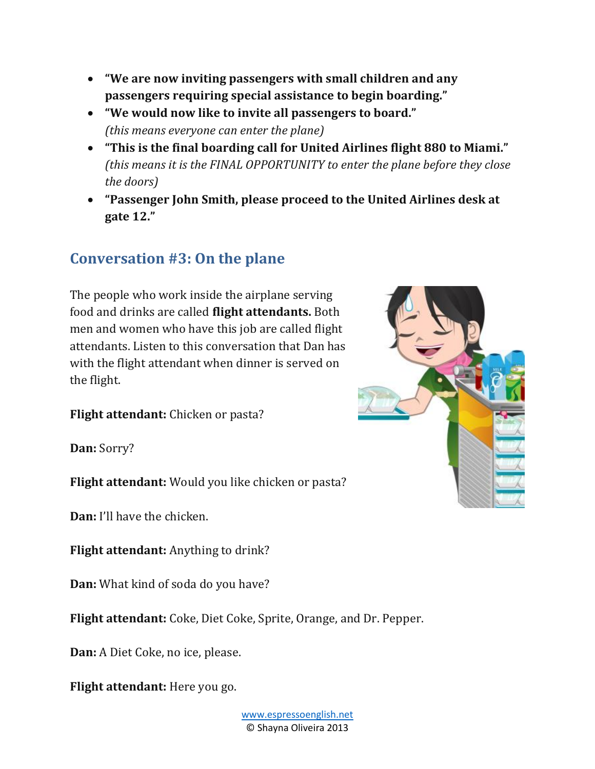- **"We are now inviting passengers with small children and any passengers requiring special assistance to begin boarding."**
- **"We would now like to invite all passengers to board."** *(this means everyone can enter the plane)*
- **"This is the final boarding call for United Airlines flight 880 to Miami."** *(this means it is the FINAL OPPORTUNITY to enter the plane before they close the doors)*
- **"Passenger John Smith, please proceed to the United Airlines desk at gate 12."**

### **Conversation #3: On the plane**

The people who work inside the airplane serving food and drinks are called **flight attendants.** Both men and women who have this job are called flight attendants. Listen to this conversation that Dan has with the flight attendant when dinner is served on the flight.

**Flight attendant:** Chicken or pasta?

**Dan:** Sorry?

**Flight attendant:** Would you like chicken or pasta?

**Dan:** I'll have the chicken.

**Flight attendant:** Anything to drink?

**Dan:** What kind of soda do you have?

**Flight attendant:** Coke, Diet Coke, Sprite, Orange, and Dr. Pepper.

**Dan:** A Diet Coke, no ice, please.

**Flight attendant:** Here you go.

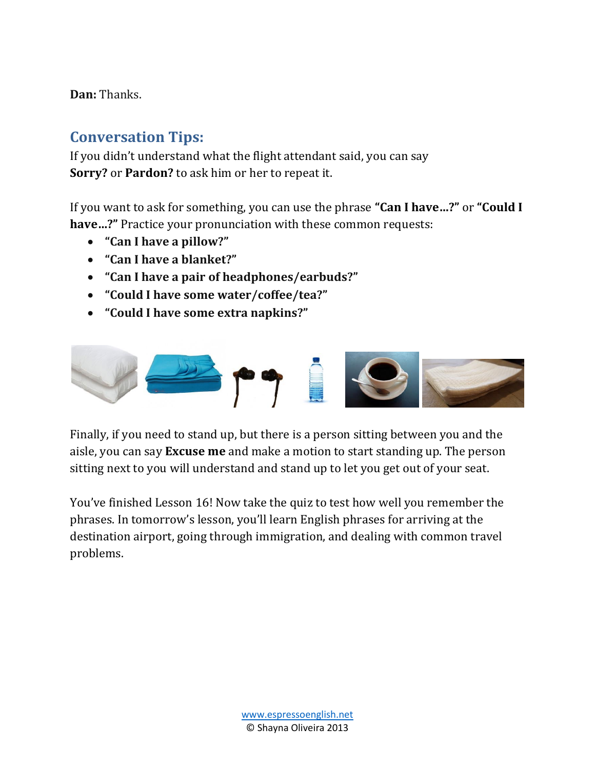**Dan:** Thanks.

## **Conversation Tips:**

If you didn't understand what the flight attendant said, you can say **Sorry?** or **Pardon?** to ask him or her to repeat it.

If you want to ask for something, you can use the phrase **"Can I have…?"** or **"Could I have…?"** Practice your pronunciation with these common requests:

- **"Can I have a pillow?"**
- **"Can I have a blanket?"**
- **"Can I have a pair of headphones/earbuds?"**
- **"Could I have some water/coffee/tea?"**
- **"Could I have some extra napkins?"**



Finally, if you need to stand up, but there is a person sitting between you and the aisle, you can say **Excuse me** and make a motion to start standing up. The person sitting next to you will understand and stand up to let you get out of your seat.

You've finished Lesson 16! Now take the quiz to test how well you remember the phrases. In tomorrow's lesson, you'll learn English phrases for arriving at the destination airport, going through immigration, and dealing with common travel problems.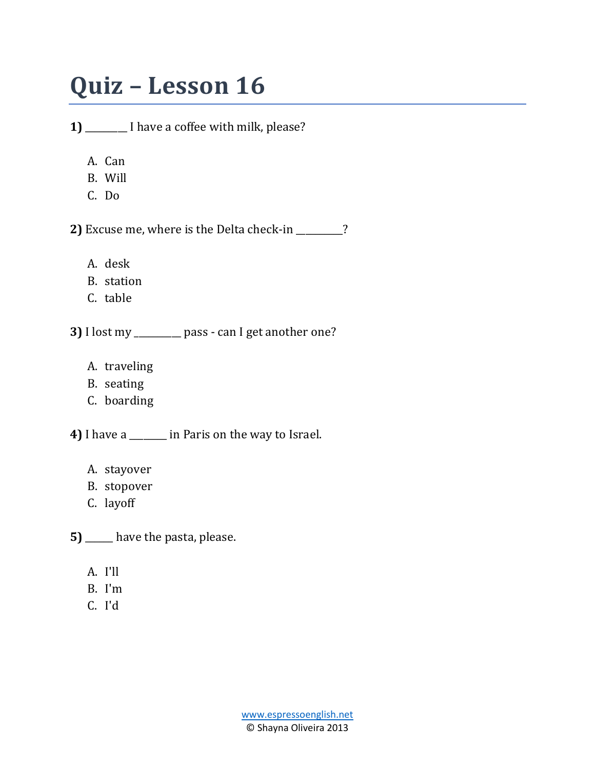## **Quiz – Lesson 16**

**1)** \_\_\_\_\_\_\_\_\_ I have a coffee with milk, please?

- A. Can
- B. Will
- C. Do

**2)** Excuse me, where is the Delta check-in \_\_\_\_\_\_\_\_\_\_?

- A. desk
- B. station
- C. table

**3)** I lost my \_\_\_\_\_\_\_\_\_\_ pass - can I get another one?

- A. traveling
- B. seating
- C. boarding

**4)** I have a \_\_\_\_\_\_\_\_ in Paris on the way to Israel.

- A. stayover
- B. stopover
- C. layoff

**5)** \_\_\_\_\_ have the pasta, please.

- A. I'll
- B. I'm
- C. I'd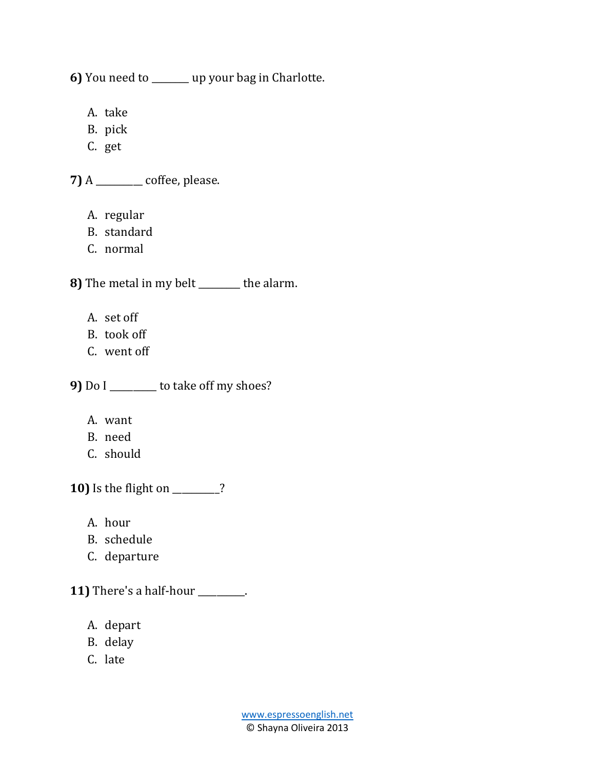**6)** You need to \_\_\_\_\_\_\_\_ up your bag in Charlotte.

A. take

- B. pick
- C. get

**7)** A \_\_\_\_\_\_\_\_\_\_ coffee, please.

- A. regular
- B. standard
- C. normal

**8)** The metal in my belt \_\_\_\_\_\_\_\_\_ the alarm.

- A. set off
- B. took off
- C. went off

**9)** Do I \_\_\_\_\_\_\_\_\_\_ to take off my shoes?

- A. want
- B. need
- C. should

**10)** Is the flight on \_\_\_\_\_\_\_\_\_\_?

- A. hour
- B. schedule
- C. departure

**11)** There's a half-hour \_\_\_\_\_\_\_\_\_\_.

- A. depart
- B. delay
- C. late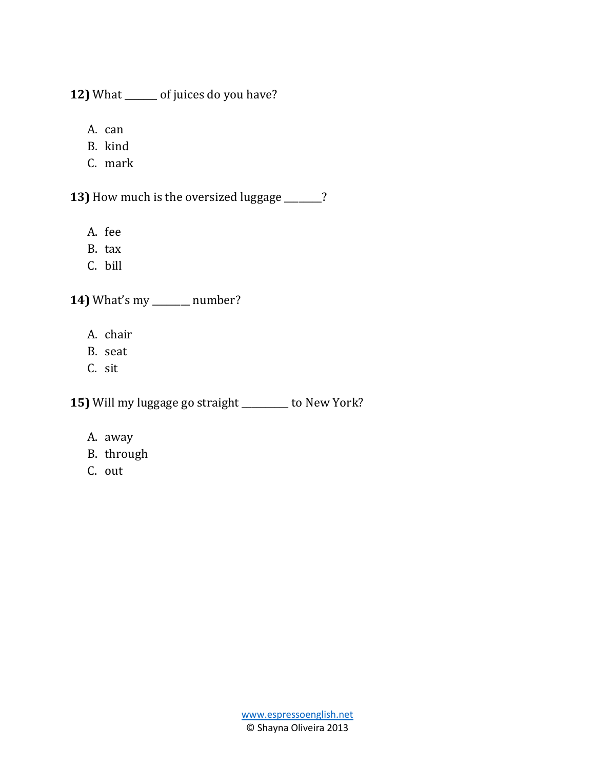**12)** What \_\_\_\_\_\_\_ of juices do you have?

- A. can
- B. kind
- C. mark

**13)** How much is the oversized luggage \_\_\_\_\_\_\_\_?

- A. fee
- B. tax
- C. bill

**14)** What's my \_\_\_\_\_\_\_\_ number?

- A. chair
- B. seat
- C. sit

**15)** Will my luggage go straight \_\_\_\_\_\_\_\_\_\_ to New York?

- A. away
- B. through
- C. out